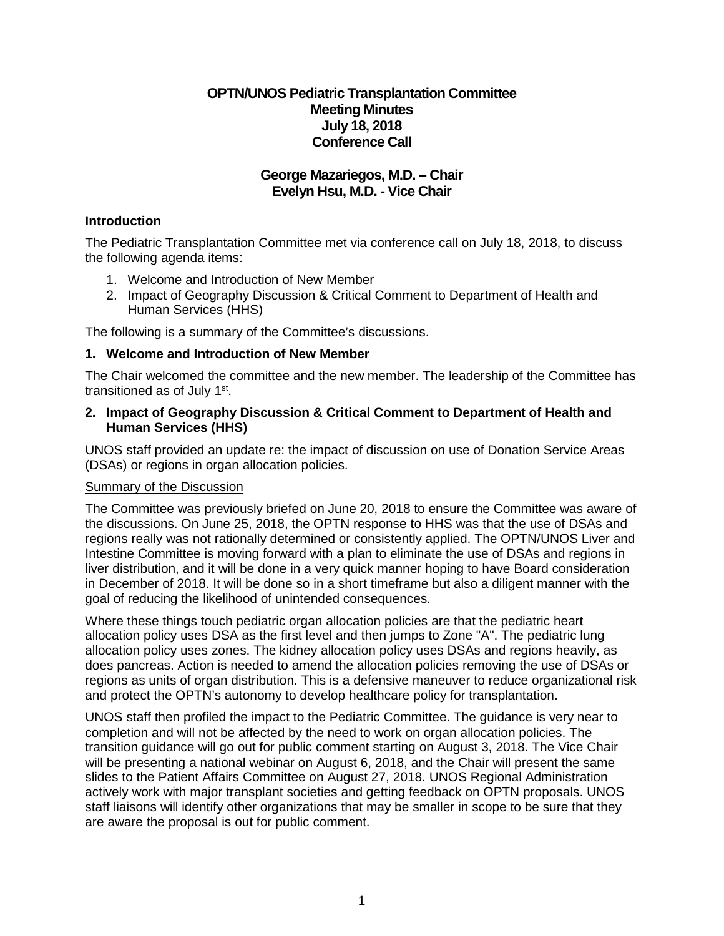## **OPTN/UNOS Pediatric Transplantation Committee Meeting Minutes July 18, 2018 Conference Call**

## **George Mazariegos, M.D. – Chair Evelyn Hsu, M.D. - Vice Chair**

## **Introduction**

The Pediatric Transplantation Committee met via conference call on July 18, 2018, to discuss the following agenda items:

- 1. Welcome and Introduction of New Member
- 2. Impact of Geography Discussion & Critical Comment to Department of Health and Human Services (HHS)

The following is a summary of the Committee's discussions.

## **1. Welcome and Introduction of New Member**

The Chair welcomed the committee and the new member. The leadership of the Committee has transitioned as of July 1st.

#### **2. Impact of Geography Discussion & Critical Comment to Department of Health and Human Services (HHS)**

UNOS staff provided an update re: the impact of discussion on use of Donation Service Areas (DSAs) or regions in organ allocation policies.

### Summary of the Discussion

The Committee was previously briefed on June 20, 2018 to ensure the Committee was aware of the discussions. On June 25, 2018, the OPTN response to HHS was that the use of DSAs and regions really was not rationally determined or consistently applied. The OPTN/UNOS Liver and Intestine Committee is moving forward with a plan to eliminate the use of DSAs and regions in liver distribution, and it will be done in a very quick manner hoping to have Board consideration in December of 2018. It will be done so in a short timeframe but also a diligent manner with the goal of reducing the likelihood of unintended consequences.

Where these things touch pediatric organ allocation policies are that the pediatric heart allocation policy uses DSA as the first level and then jumps to Zone "A". The pediatric lung allocation policy uses zones. The kidney allocation policy uses DSAs and regions heavily, as does pancreas. Action is needed to amend the allocation policies removing the use of DSAs or regions as units of organ distribution. This is a defensive maneuver to reduce organizational risk and protect the OPTN's autonomy to develop healthcare policy for transplantation.

UNOS staff then profiled the impact to the Pediatric Committee. The guidance is very near to completion and will not be affected by the need to work on organ allocation policies. The transition guidance will go out for public comment starting on August 3, 2018. The Vice Chair will be presenting a national webinar on August 6, 2018, and the Chair will present the same slides to the Patient Affairs Committee on August 27, 2018. UNOS Regional Administration actively work with major transplant societies and getting feedback on OPTN proposals. UNOS staff liaisons will identify other organizations that may be smaller in scope to be sure that they are aware the proposal is out for public comment.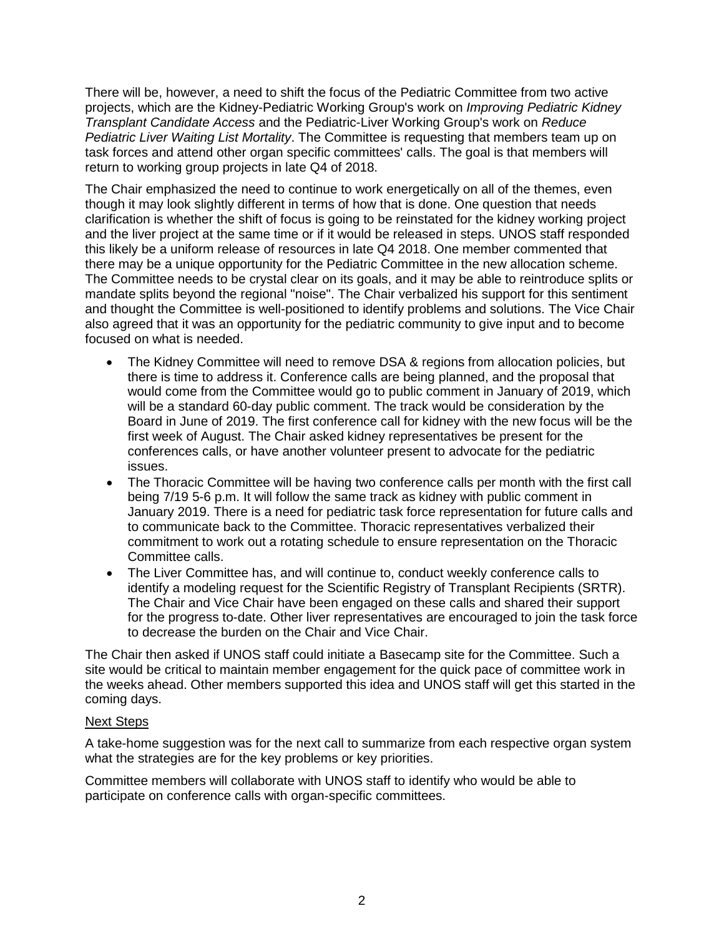There will be, however, a need to shift the focus of the Pediatric Committee from two active projects, which are the Kidney-Pediatric Working Group's work on *Improving Pediatric Kidney Transplant Candidate Access* and the Pediatric-Liver Working Group's work on *Reduce Pediatric Liver Waiting List Mortality*. The Committee is requesting that members team up on task forces and attend other organ specific committees' calls. The goal is that members will return to working group projects in late Q4 of 2018.

The Chair emphasized the need to continue to work energetically on all of the themes, even though it may look slightly different in terms of how that is done. One question that needs clarification is whether the shift of focus is going to be reinstated for the kidney working project and the liver project at the same time or if it would be released in steps. UNOS staff responded this likely be a uniform release of resources in late Q4 2018. One member commented that there may be a unique opportunity for the Pediatric Committee in the new allocation scheme. The Committee needs to be crystal clear on its goals, and it may be able to reintroduce splits or mandate splits beyond the regional "noise". The Chair verbalized his support for this sentiment and thought the Committee is well-positioned to identify problems and solutions. The Vice Chair also agreed that it was an opportunity for the pediatric community to give input and to become focused on what is needed.

- The Kidney Committee will need to remove DSA & regions from allocation policies, but there is time to address it. Conference calls are being planned, and the proposal that would come from the Committee would go to public comment in January of 2019, which will be a standard 60-day public comment. The track would be consideration by the Board in June of 2019. The first conference call for kidney with the new focus will be the first week of August. The Chair asked kidney representatives be present for the conferences calls, or have another volunteer present to advocate for the pediatric issues.
- The Thoracic Committee will be having two conference calls per month with the first call being 7/19 5-6 p.m. It will follow the same track as kidney with public comment in January 2019. There is a need for pediatric task force representation for future calls and to communicate back to the Committee. Thoracic representatives verbalized their commitment to work out a rotating schedule to ensure representation on the Thoracic Committee calls.
- The Liver Committee has, and will continue to, conduct weekly conference calls to identify a modeling request for the Scientific Registry of Transplant Recipients (SRTR). The Chair and Vice Chair have been engaged on these calls and shared their support for the progress to-date. Other liver representatives are encouraged to join the task force to decrease the burden on the Chair and Vice Chair.

The Chair then asked if UNOS staff could initiate a Basecamp site for the Committee. Such a site would be critical to maintain member engagement for the quick pace of committee work in the weeks ahead. Other members supported this idea and UNOS staff will get this started in the coming days.

#### Next Steps

A take-home suggestion was for the next call to summarize from each respective organ system what the strategies are for the key problems or key priorities.

Committee members will collaborate with UNOS staff to identify who would be able to participate on conference calls with organ-specific committees.